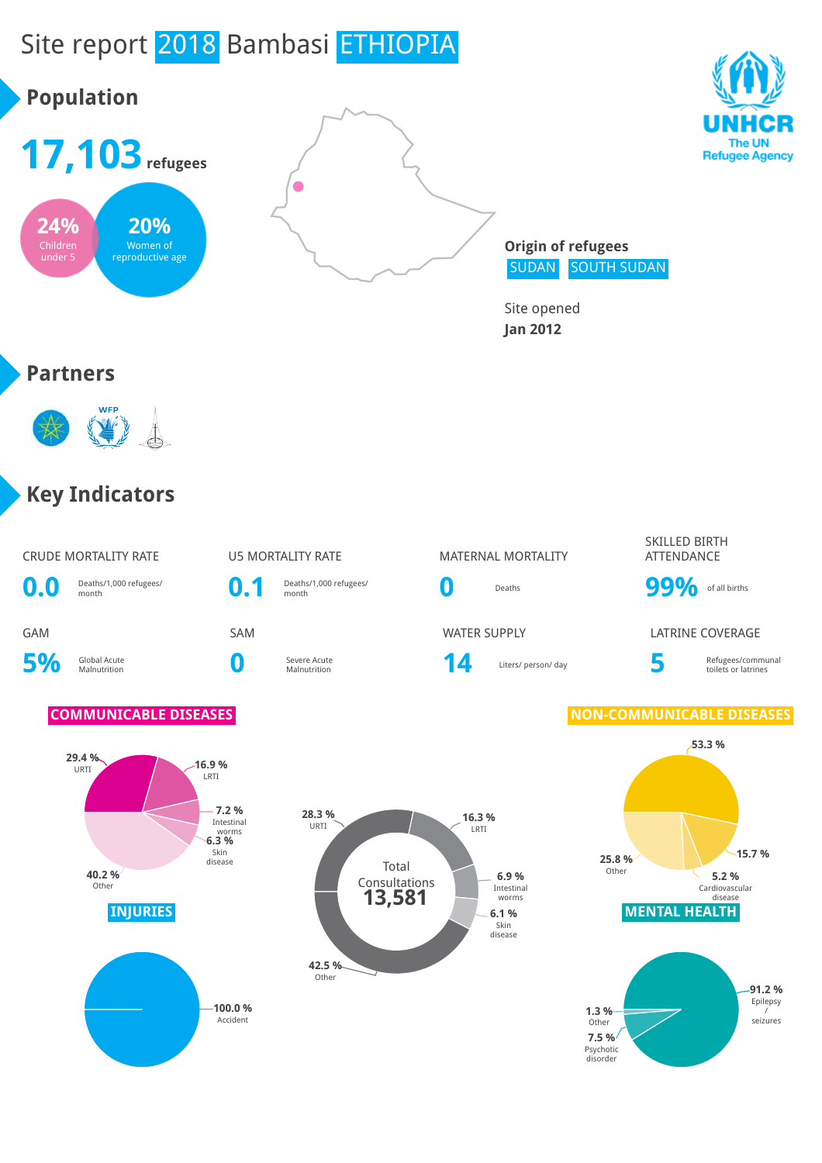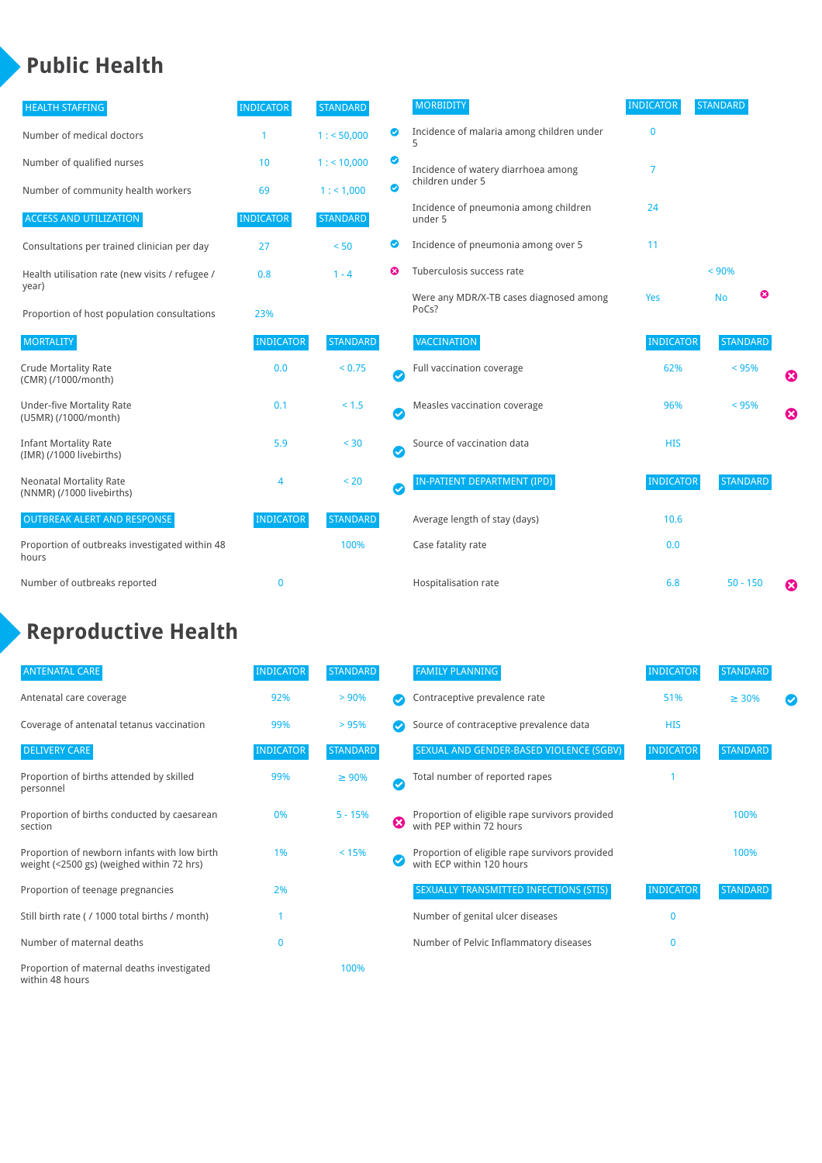### **Public Health**

| <b>HEALTH STAFFING</b>                                      | <b>INDICATOR</b> | <b>STANDARD</b> |           | <b>MORBIDITY</b>                                 | <b>INDICATOR</b> | <b>STANDARD</b> |                       |
|-------------------------------------------------------------|------------------|-----------------|-----------|--------------------------------------------------|------------------|-----------------|-----------------------|
| Number of medical doctors                                   |                  | 1: 50,000       | ◉         | Incidence of malaria among children under        | $\mathbf{0}$     |                 |                       |
| Number of qualified nurses                                  | 10               | $1:$ < 10,000   | ◎         | Incidence of watery diarrhoea among              | 7                |                 |                       |
| Number of community health workers                          | 69               | 1: 1,000        | ◙         | children under 5                                 |                  |                 |                       |
| <b>ACCESS AND UTILIZATION</b>                               | <b>INDICATOR</b> | <b>STANDARD</b> |           | Incidence of pneumonia among children<br>under 5 | 24               |                 |                       |
| Consultations per trained clinician per day                 | 27               | < 50            | ◙         | Incidence of pneumonia among over 5              | 11               |                 |                       |
| Health utilisation rate (new visits / refugee /             | 0.8              | $1 - 4$         | ణ         | Tuberculosis success rate                        |                  | < 90%           |                       |
| year)<br>Proportion of host population consultations        | 23%              |                 |           | Were any MDR/X-TB cases diagnosed among<br>PoCs? | Yes              | ☺<br><b>No</b>  |                       |
| <b>MORTALITY</b>                                            | <b>INDICATOR</b> | <b>STANDARD</b> |           | <b>VACCINATION</b>                               | <b>INDICATOR</b> | <b>STANDARD</b> |                       |
| <b>Crude Mortality Rate</b><br>(CMR) (/1000/month)          | 0.0              | < 0.75          | $\bullet$ | Full vaccination coverage                        | 62%              | < 95%           | ☺                     |
| <b>Under-five Mortality Rate</b><br>(U5MR) (/1000/month)    | 0.1              | $< 1.5$         | Ø         | Measles vaccination coverage                     | 96%              | < 95%           | $\boldsymbol{\Omega}$ |
| <b>Infant Mortality Rate</b><br>(IMR) (/1000 livebirths)    | 5.9              | < 30            | $\bullet$ | Source of vaccination data                       | <b>HIS</b>       |                 |                       |
| <b>Neonatal Mortality Rate</b><br>(NNMR) (/1000 livebirths) | 4                | < 20            | $\bullet$ | <b>IN-PATIENT DEPARTMENT (IPD)</b>               | <b>INDICATOR</b> | <b>STANDARD</b> |                       |
| <b>OUTBREAK ALERT AND RESPONSE</b>                          | <b>INDICATOR</b> | <b>STANDARD</b> |           | Average length of stay (days)                    | 10.6             |                 |                       |
| Proportion of outbreaks investigated within 48<br>hours     |                  | 100%            |           | Case fatality rate                               | 0.0              |                 |                       |
| Number of outbreaks reported                                | $\mathbf 0$      |                 |           | Hospitalisation rate                             | 6.8              | $50 - 150$      | €                     |

### **Reproductive Health**

| <b>ANTENATAL CARE</b>                                                                     | <b>INDICATOR</b> | <b>STANDARD</b> |   | <b>FAMILY PLANNING</b>                                                      | <b>INDICATOR</b> | <b>STANDARD</b> |  |
|-------------------------------------------------------------------------------------------|------------------|-----------------|---|-----------------------------------------------------------------------------|------------------|-----------------|--|
| Antenatal care coverage                                                                   | 92%              | > 90%           |   | Contraceptive prevalence rate                                               | 51%              | $\geq 30\%$     |  |
| Coverage of antenatal tetanus vaccination                                                 | 99%              | >95%            |   | Source of contraceptive prevalence data                                     | <b>HIS</b>       |                 |  |
| <b>DELIVERY CARE</b>                                                                      | <b>INDICATOR</b> | <b>STANDARD</b> |   | SEXUAL AND GENDER-BASED VIOLENCE (SGBV)                                     | <b>INDICATOR</b> | <b>STANDARD</b> |  |
| Proportion of births attended by skilled<br>personnel                                     | 99%              | $\geq 90\%$     |   | Total number of reported rapes                                              |                  |                 |  |
| Proportion of births conducted by caesarean<br>section                                    | 0%               | $5 - 15%$       | ☺ | Proportion of eligible rape survivors provided<br>with PEP within 72 hours  |                  | 100%            |  |
| Proportion of newborn infants with low birth<br>weight (<2500 gs) (weighed within 72 hrs) | 1%               | < 15%           |   | Proportion of eligible rape survivors provided<br>with ECP within 120 hours |                  | 100%            |  |
| Proportion of teenage pregnancies                                                         | 2%               |                 |   | SEXUALLY TRANSMITTED INFECTIONS (STIS)                                      | <b>INDICATOR</b> | <b>STANDARD</b> |  |
| Still birth rate (/1000 total births / month)                                             |                  |                 |   | Number of genital ulcer diseases                                            | $\mathbf{0}$     |                 |  |
| Number of maternal deaths                                                                 | 0                |                 |   | Number of Pelvic Inflammatory diseases                                      | 0                |                 |  |
| Proportion of maternal deaths investigated<br>within 48 hours                             |                  | 100%            |   |                                                                             |                  |                 |  |